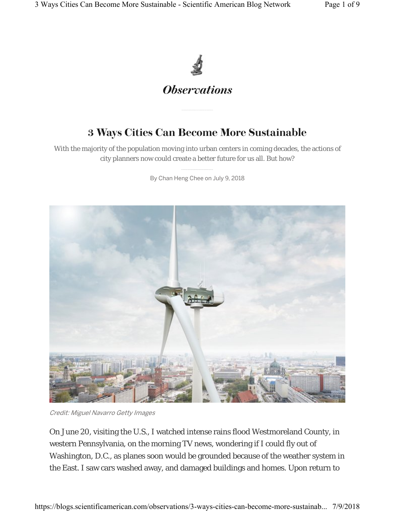

## 3 Ways Cities Can Become More Sustainable

With the majority of the population moving into urban centers in coming decades, the actions of city planners now could create a better future for us all. But how?

By Chan Heng Chee on July 9, 2018



Credit: Miguel Navarro Getty Images

On June 20, visiting the U.S., I watched intense rains flood Westmoreland County, in western Pennsylvania, on the morning TV news, wondering if I could fly out of Washington, D.C., as planes soon would be grounded because of the weather system in the East. I saw cars washed away, and damaged buildings and homes. Upon return to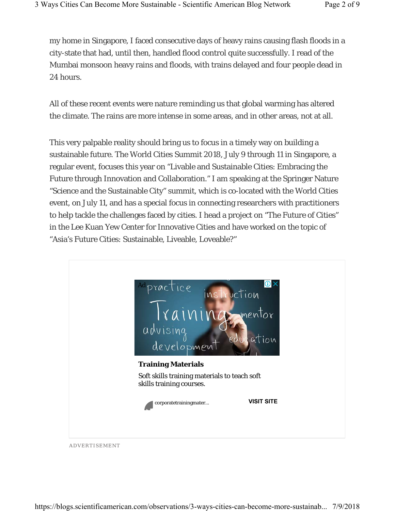my home in Singapore, I faced consecutive days of heavy rains causing flash floods in a city-state that had, until then, handled flood control quite successfully. I read of the Mumbai monsoon heavy rains and floods, with trains delayed and four people dead in 24 hours.

All of these recent events were nature reminding us that global warming has altered the climate. The rains are more intense in some areas, and in other areas, not at all.

This very palpable reality should bring us to focus in a timely way on building a sustainable future. The World Cities Summit 2018, July 9 through 11 in Singapore, a regular event, focuses this year on "Livable and Sustainable Cities: Embracing the Future through Innovation and Collaboration." I am speaking at the Springer Nature "Science and the Sustainable City" summit, which is co-located with the World Cities event, on July 11, and has a special focus in connecting researchers with practitioners to help tackle the challenges faced by cities. I head a project on "The Future of Cities" in the Lee Kuan Yew Center for Innovative Cities and have worked on the topic of "Asia's Future Cities: Sustainable, Liveable, Loveable?"



ADVERTISEMENT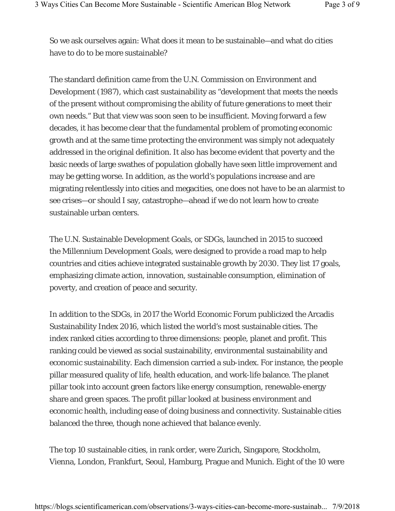So we ask ourselves again: What does it mean to be sustainable—and what do cities have to do to be more sustainable?

The standard definition came from the U.N. Commission on Environment and Development (1987), which cast sustainability as "development that meets the needs of the present without compromising the ability of future generations to meet their own needs." But that view was soon seen to be insufficient. Moving forward a few decades, it has become clear that the fundamental problem of promoting economic growth and at the same time protecting the environment was simply not adequately addressed in the original definition. It also has become evident that poverty and the basic needs of large swathes of population globally have seen little improvement and may be getting worse. In addition, as the world's populations increase and are migrating relentlessly into cities and megacities, one does not have to be an alarmist to see crises—or should I say, catastrophe—ahead if we do not learn how to create sustainable urban centers.

The U.N. Sustainable Development Goals, or SDGs, launched in 2015 to succeed the Millennium Development Goals, were designed to provide a road map to help countries and cities achieve integrated sustainable growth by 2030. They list 17 goals, emphasizing climate action, innovation, sustainable consumption, elimination of poverty, and creation of peace and security.

In addition to the SDGs, in 2017 the World Economic Forum publicized the Arcadis Sustainability Index 2016, which listed the world's most sustainable cities. The index ranked cities according to three dimensions: people, planet and profit. This ranking could be viewed as social sustainability, environmental sustainability and economic sustainability. Each dimension carried a sub-index. For instance, the people pillar measured quality of life, health education, and work-life balance. The planet pillar took into account green factors like energy consumption, renewable-energy share and green spaces. The profit pillar looked at business environment and economic health, including ease of doing business and connectivity. Sustainable cities balanced the three, though none achieved that balance evenly.

The top 10 sustainable cities, in rank order, were Zurich, Singapore, Stockholm, Vienna, London, Frankfurt, Seoul, Hamburg, Prague and Munich. Eight of the 10 were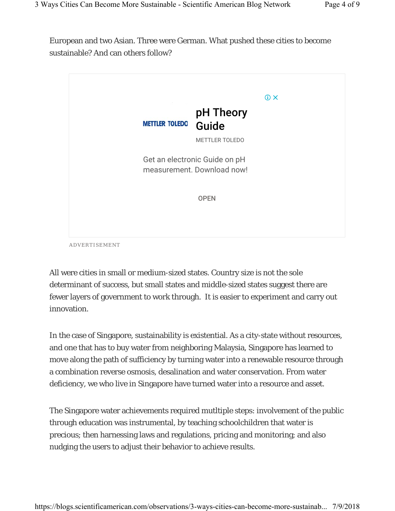European and two Asian. Three were German. What pushed these cities to become sustainable? And can others follow?



ADVERTISEMENT

All were cities in small or medium-sized states. Country size is not the sole determinant of success, but small states and middle-sized states suggest there are fewer layers of government to work through. It is easier to experiment and carry out innovation.

In the case of Singapore, sustainability is existential. As a city-state without resources, and one that has to buy water from neighboring Malaysia, Singapore has learned to move along the path of sufficiency by turning water into a renewable resource through a combination reverse osmosis, desalination and water conservation. From water deficiency, we who live in Singapore have turned water into a resource and asset.

The Singapore water achievements required mutltiple steps: involvement of the public through education was instrumental, by teaching schoolchildren that water is precious; then harnessing laws and regulations, pricing and monitoring; and also nudging the users to adjust their behavior to achieve results.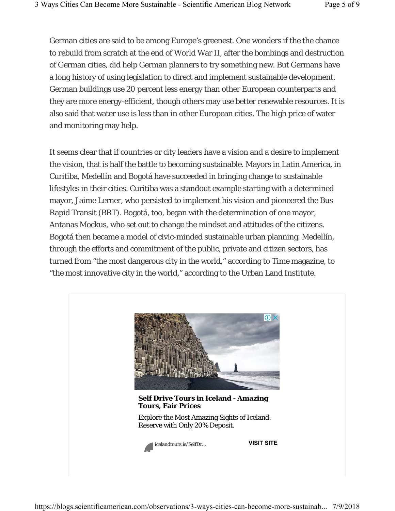German cities are said to be among Europe's greenest. One wonders if the the chance to rebuild from scratch at the end of World War II, after the bombings and destruction of German cities, did help German planners to try something new. But Germans have a long history of using legislation to direct and implement sustainable development. German buildings use 20 percent less energy than other European counterparts and they are more energy-efficient, though others may use better renewable resources. It is also said that water use is less than in other European cities. The high price of water and monitoring may help.

It seems clear that if countries or city leaders have a vision and a desire to implement the vision, that is half the battle to becoming sustainable. Mayors in Latin America, in Curitiba, Medellín and Bogotá have succeeded in bringing change to sustainable lifestyles in their cities. Curitiba was a standout example starting with a determined mayor, Jaime Lerner, who persisted to implement his vision and pioneered the Bus Rapid Transit (BRT). Bogotá, too, began with the determination of one mayor, Antanas Mockus, who set out to change the mindset and attitudes of the citizens. Bogotá then became a model of civic-minded sustainable urban planning. Medellín, through the efforts and commitment of the public, private and citizen sectors, has turned from "the most dangerous city in the world," according to *Time* magazine, to "the most innovative city in the world," according to the Urban Land Institute.

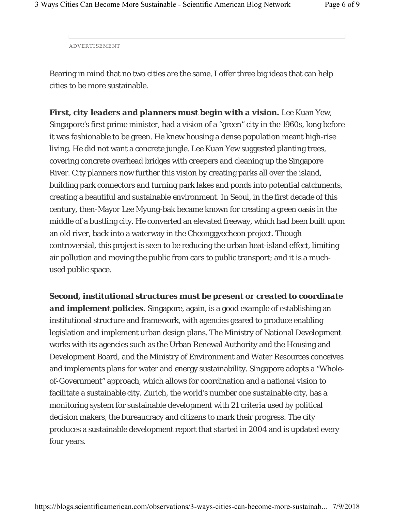ADVERTISEMENT

Bearing in mind that no two cities are the same, I offer three big ideas that can help cities to be more sustainable.

*First, city leaders and planners must begin with a vision***.** Lee Kuan Yew, Singapore's first prime minister, had a vision of a "green" city in the 1960s, long before it was fashionable to be green. He knew housing a dense population meant high-rise living. He did not want a concrete jungle. Lee Kuan Yew suggested planting trees, covering concrete overhead bridges with creepers and cleaning up the Singapore River. City planners now further this vision by creating parks all over the island, building park connectors and turning park lakes and ponds into potential catchments, creating a beautiful and sustainable environment. In Seoul, in the first decade of this century, then-Mayor Lee Myung-bak became known for creating a green oasis in the middle of a bustling city. He converted an elevated freeway, which had been built upon an old river, back into a waterway in the Cheonggyecheon project. Though controversial, this project is seen to be reducing the urban heat-island effect, limiting air pollution and moving the public from cars to public transport; and it is a muchused public space.

*Second, institutional structures must be present or created to coordinate and implement policies***.** Singapore, again, is a good example of establishing an institutional structure and framework, with agencies geared to produce enabling legislation and implement urban design plans. The Ministry of National Development works with its agencies such as the Urban Renewal Authority and the Housing and Development Board, and the Ministry of Environment and Water Resources conceives and implements plans for water and energy sustainability. Singapore adopts a "Wholeof-Government" approach, which allows for coordination and a national vision to facilitate a sustainable city. Zurich, the world's number one sustainable city, has a monitoring system for sustainable development with 21 criteria used by political decision makers, the bureaucracy and citizens to mark their progress. The city produces a sustainable development report that started in 2004 and is updated every four years.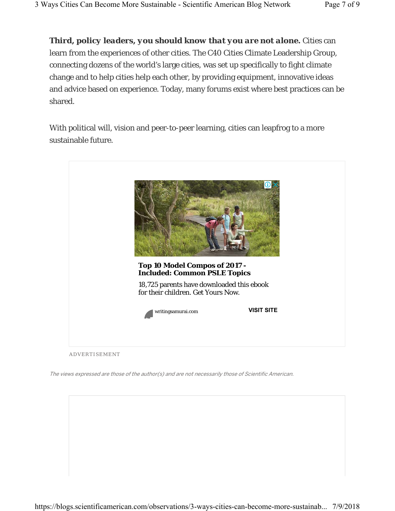*Third, policy leaders, you should know that you are not alone***.** Cities can learn from the experiences of other cities. The C40 Cities Climate Leadership Group, connecting dozens of the world's large cities, was set up specifically to fight climate change and to help cities help each other, by providing equipment, innovative ideas and advice based on experience. Today, many forums exist where best practices can be shared.

With political will, vision and peer-to-peer learning, cities can leapfrog to a more sustainable future.



The views expressed are those of the author(s) and are not necessarily those of Scientific American.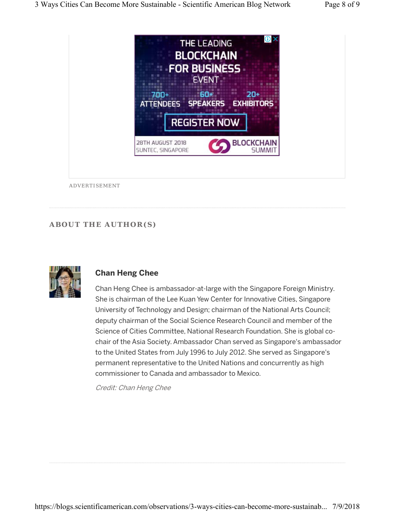

## **ABOUT THE AUTHOR(S)**



## **Chan Heng Chee**

Chan Heng Chee is ambassador-at-large with the Singapore Foreign Ministry. She is chairman of the Lee Kuan Yew Center for Innovative Cities, Singapore University of Technology and Design; chairman of the National Arts Council; deputy chairman of the Social Science Research Council and member of the Science of Cities Committee, National Research Foundation. She is global cochair of the Asia Society. Ambassador Chan served as Singapore's ambassador to the United States from July 1996 to July 2012. She served as Singapore's permanent representative to the United Nations and concurrently as high commissioner to Canada and ambassador to Mexico.

Credit: Chan Heng Chee